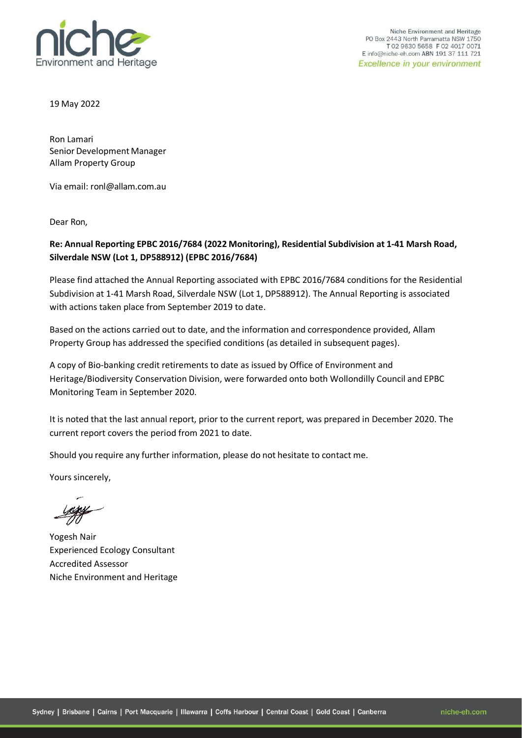

Niche Environment and Heritage PO Box 2443 North Parramatta NSW 1750 T02 9630 5658 F02 4017 0071 E info@niche-eh.com ABN 191 37 111 721 **Excellence in your environment** 

19 May 2022

Ron Lamari Senior Development Manager Allam Property Group

Via email: [ronl@allam.com.au](mailto:ronl@allam.com.au)

Dear Ron,

#### **Re: Annual Reporting EPBC 2016/7684 (2022 Monitoring), Residential Subdivision at 1-41 Marsh Road, Silverdale NSW (Lot 1, DP588912) (EPBC 2016/7684)**

Please find attached the Annual Reporting associated with EPBC 2016/7684 conditions for the Residential Subdivision at 1-41 Marsh Road, Silverdale NSW (Lot 1, DP588912). The Annual Reporting is associated with actions taken place from September 2019 to date.

Based on the actions carried out to date, and the information and correspondence provided, Allam Property Group has addressed the specified conditions (as detailed in subsequent pages).

A copy of Bio-banking credit retirements to date as issued by Office of Environment and Heritage/Biodiversity Conservation Division, were forwarded onto both Wollondilly Council and EPBC Monitoring Team in September 2020.

It is noted that the last annual report, prior to the current report, was prepared in December 2020. The current report covers the period from 2021 to date.

Should you require any further information, please do not hesitate to contact me.

Yours sincerely,

Yogesh Nair Experienced Ecology Consultant Accredited Assessor Niche Environment and Heritage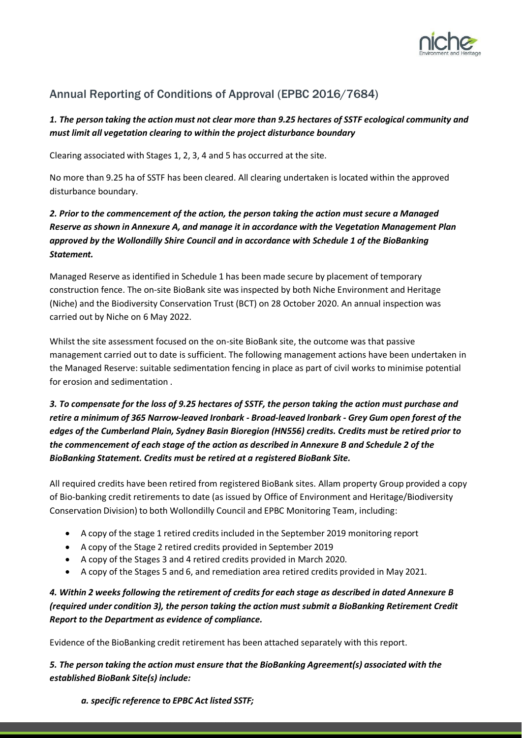

# Annual Reporting of Conditions of Approval (EPBC 2016/7684)

### *1. The person taking the action must not clear more than 9.25 hectares of SSTF ecological community and must limit all vegetation clearing to within the project disturbance boundary*

Clearing associated with Stages 1, 2, 3, 4 and 5 has occurred at the site.

No more than 9.25 ha of SSTF has been cleared. All clearing undertaken is located within the approved disturbance boundary.

## *2. Prior to the commencement of the action, the person taking the action must secure a Managed Reserve as shown in Annexure A, and manage it in accordance with the Vegetation Management Plan approved by the Wollondilly Shire Council and in accordance with Schedule 1 of the BioBanking Statement.*

Managed Reserve as identified in Schedule 1 has been made secure by placement of temporary construction fence. The on-site BioBank site was inspected by both Niche Environment and Heritage (Niche) and the Biodiversity Conservation Trust (BCT) on 28 October 2020. An annual inspection was carried out by Niche on 6 May 2022.

Whilst the site assessment focused on the on-site BioBank site, the outcome was that passive management carried out to date is sufficient. The following management actions have been undertaken in the Managed Reserve: suitable sedimentation fencing in place as part of civil works to minimise potential for erosion and sedimentation .

## *3. To compensate for the loss of 9.25 hectares of SSTF, the person taking the action must purchase and retire a minimum of 365 Narrow-leaved Ironbark - Broad-leaved lronbark - Grey Gum open forest of the edges of the Cumberland Plain, Sydney Basin Bioregion (HN556) credits. Credits must be retired prior to the commencement of each stage of the action as described in Annexure B and Schedule 2 of the BioBanking Statement. Credits must be retired at a registered BioBank Site.*

All required credits have been retired from registered BioBank sites. Allam property Group provided a copy of Bio-banking credit retirements to date (as issued by Office of Environment and Heritage/Biodiversity Conservation Division) to both Wollondilly Council and EPBC Monitoring Team, including:

- A copy of the stage 1 retired credits included in the September 2019 monitoring report
- A copy of the Stage 2 retired credits provided in September 2019
- A copy of the Stages 3 and 4 retired credits provided in March 2020.
- A copy of the Stages 5 and 6, and remediation area retired credits provided in May 2021.

## *4. Within 2 weeks following the retirement of credits for each stage as described in dated Annexure B (required under condition 3), the person taking the action must submit a BioBanking Retirement Credit Report to the Department as evidence of compliance.*

Evidence of the BioBanking credit retirement has been attached separately with this report.

*5. The person taking the action must ensure that the BioBanking Agreement(s) associated with the established BioBank Site(s) include:*

*a. specific reference to EPBC Act listed SSTF;*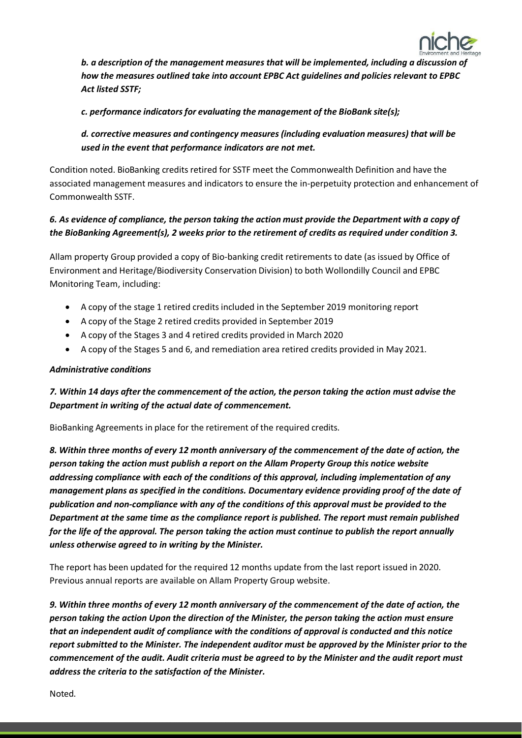

*b. a description of the management measures that will be implemented, including a discussion of how the measures outlined take into account EPBC Act guidelines and policies relevant to EPBC Act listed SSTF;*

*c. performance indicatorsfor evaluating the management of the BioBank site(s);*

*d. corrective measures and contingency measures(including evaluation measures) that will be used in the event that performance indicators are not met.*

Condition noted. BioBanking credits retired for SSTF meet the Commonwealth Definition and have the associated management measures and indicators to ensure the in-perpetuity protection and enhancement of Commonwealth SSTF.

### *6. As evidence of compliance, the person taking the action must provide the Department with a copy of the BioBanking Agreement(s), 2 weeks prior to the retirement of credits as required under condition 3.*

Allam property Group provided a copy of Bio-banking credit retirements to date (as issued by Office of Environment and Heritage/Biodiversity Conservation Division) to both Wollondilly Council and EPBC Monitoring Team, including:

- A copy of the stage 1 retired credits included in the September 2019 monitoring report
- A copy of the Stage 2 retired credits provided in September 2019
- A copy of the Stages 3 and 4 retired credits provided in March 2020
- A copy of the Stages 5 and 6, and remediation area retired credits provided in May 2021.

#### *Administrative conditions*

### *7. Within 14 days after the commencement of the action, the person taking the action must advise the Department in writing of the actual date of commencement.*

BioBanking Agreements in place for the retirement of the required credits.

*8. Within three months of every 12 month anniversary of the commencement of the date of action, the person taking the action must publish a report on the Allam Property Group this notice website addressing compliance with each of the conditions of this approval, including implementation of any management plans as specified in the conditions. Documentary evidence providing proof of the date of publication and non-compliance with any of the conditions of this approval must be provided to the Department at the same time as the compliance report is published. The report must remain published for the life of the approval. The person taking the action must continue to publish the report annually unless otherwise agreed to in writing by the Minister.*

The report has been updated for the required 12 months update from the last report issued in 2020. Previous annual reports are available on Allam Property Group website.

*9. Within three months of every 12 month anniversary of the commencement of the date of action, the person taking the action Upon the direction of the Minister, the person taking the action must ensure that an independent audit of compliance with the conditions of approval is conducted and this notice report submitted to the Minister. The independent auditor must be approved by the Minister prior to the commencement of the audit. Audit criteria must be agreed to by the Minister and the audit report must address the criteria to the satisfaction of the Minister.*

Noted.